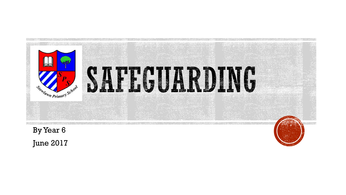

June 2017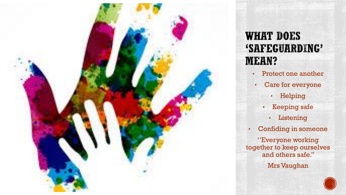

#### **WHAT DOES** 'SAFEGUARDING' **MEAN?**

- Protect one another
- Care for everyone
	- Helping
	- Keeping safe
		- Listening
- Confiding in someone

''Everyone working together to keep ourselves and others safe.''

Mrs Vaughan

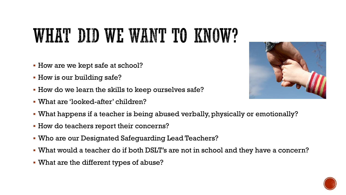## WHAT DID WE WANT TO KNOW?

- How are we kept safe at school?
- **How is our building safe?**
- How do we learn the skills to keep ourselves safe?
- What are 'looked-after' children?
- What happens if a teacher is being abused verbally, physically or emotionally?
- **How do teachers report their concerns?**
- Who are our Designated Safeguarding Lead Teachers?
- What would a teacher do if both DSLT's are not in school and they have a concern?
- What are the different types of abuse?



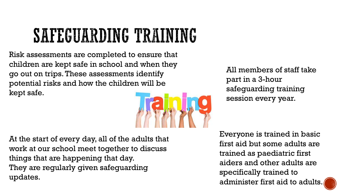### SAFEGUARDING TRAINING

Risk assessments are completed to ensure that children are kept safe in school and when they go out on trips. These assessments identify potential risks and how the children will be kept safe.



At the start of every day, all of the adults that work at our school meet together to discuss things that are happening that day. They are regularly given safeguarding updates.

All members of staff take part in a 3-hour safeguarding training session every year.

Everyone is trained in basic first aid but some adults are trained as paediatric first aiders and other adults are specifically trained to administer first aid to adults.

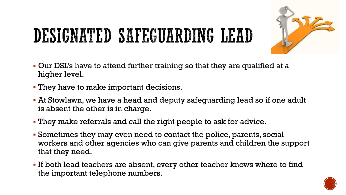# DESIGNATED SAFEGUARDING LEAD



- Our DSL's have to attend further training so that they are qualified at a higher level.
- They have to make important decisions.
- At Stowlawn, we have a head and deputy safeguarding lead so if one adult is absent the other is in charge.
- They make referrals and call the right people to ask for advice.
- Sometimes they may even need to contact the police, parents, social workers and other agencies who can give parents and children the support that they need.
- If both lead teachers are absent, every other teacher knows where to find the important telephone numbers.

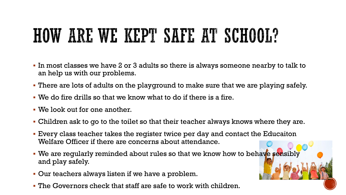### HOW ARE WE KEPT SAIL AT SCHOOL?

- In most classes we have 2 or 3 adults so there is always someone nearby to talk to an help us with our problems.
- There are lots of adults on the playground to make sure that we are playing safely.
- We do fire drills so that we know what to do if there is a fire.
- We look out for one another.
- Children ask to go to the toilet so that their teacher always knows where they are.
- Every class teacher takes the register twice per day and contact the Educaiton Welfare Officer if there are concerns about attendance.
- We are regularly reminded about rules so that we know how to behave sensibly and play safely.
- Our teachers always listen if we have a problem.
- The Governors check that staff are safe to work with children.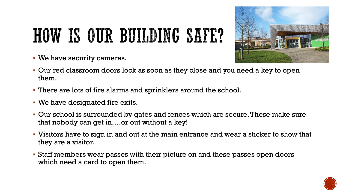# HOW IS OUR BUILDING SAFE?

We have security cameras.



- Our red classroom doors lock as soon as they close and you need a key to open them.
- There are lots of fire alarms and sprinklers around the school.
- We have designated fire exits.
- Our school is surrounded by gates and fences which are secure. These make sure that nobody can get in….or out without a key!
- Visitors have to sign in and out at the main entrance and wear a sticker to show that they are a visitor.
- Staff members wear passes with their picture on and these passes open doors which need a card to open them.

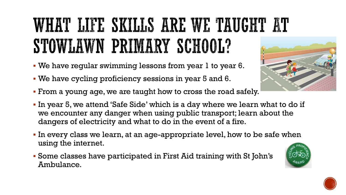### WHAT LIFE SKILLS ARE WE TAUGHT AT STOWLAWN PRIMARY SCHOOL?

- We have regular swimming lessons from year 1 to year 6.
- We have cycling proficiency sessions in year 5 and 6.
- From a young age, we are taught how to cross the road safely.
- In year 5, we attend 'Safe Side' which is a day where we learn what to do if we encounter any danger when using public transport; learn about the dangers of electricity and what to do in the event of a fire.
- In every class we learn, at an age-appropriate level, how to be safe when using the internet.
- Some classes have participated in First Aid training with St John's Ambulance.